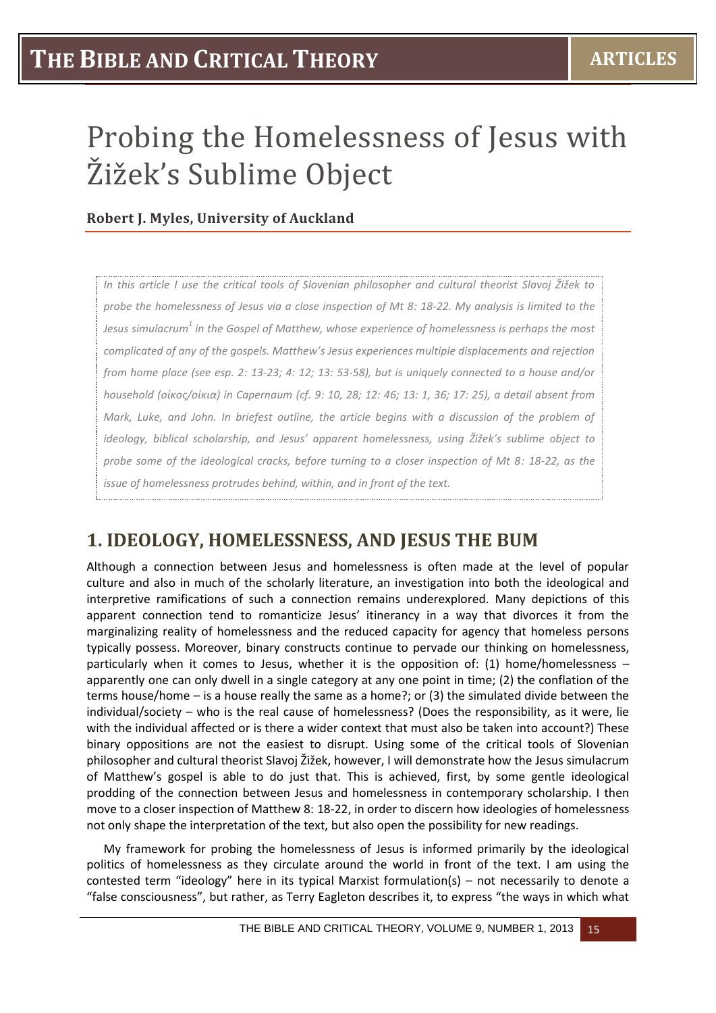# **THE BIBLE AND CRITICAL THEORY ARTICLES**

# Probing the Homelessness of Jesus with Žižek's Sublime Object

#### **Robert J. Myles, University of Auckland**

*In this article I use the critical tools of Slovenian philosopher and cultural theorist Slavoj Žižek to probe the homelessness of Jesus via a close inspection of Mt 8: 18-22. My analysis is limited to the Jesus simulacrum<sup>1</sup> in the Gospel of Matthew, whose experience of homelessness is perhaps the most complicated of any of the gospels. Matthew's Jesus experiences multiple displacements and rejection from home place (see esp. 2: 13-23; 4: 12; 13: 53-58), but is uniquely connected to a house and/or household (οἰκος/οἰκια) in Capernaum (cf. 9: 10, 28; 12: 46; 13: 1, 36; 17: 25), a detail absent from Mark, Luke, and John. In briefest outline, the article begins with a discussion of the problem of ideology, biblical scholarship, and Jesus' apparent homelessness, using Žižek's sublime object to probe some of the ideological cracks, before turning to a closer inspection of Mt 8: 18-22, as the issue of homelessness protrudes behind, within, and in front of the text.* 

#### **1. IDEOLOGY, HOMELESSNESS, AND JESUS THE BUM**

Although a connection between Jesus and homelessness is often made at the level of popular culture and also in much of the scholarly literature, an investigation into both the ideological and interpretive ramifications of such a connection remains underexplored. Many depictions of this apparent connection tend to romanticize Jesus' itinerancy in a way that divorces it from the marginalizing reality of homelessness and the reduced capacity for agency that homeless persons typically possess. Moreover, binary constructs continue to pervade our thinking on homelessness, particularly when it comes to Jesus, whether it is the opposition of: (1) home/homelessness – apparently one can only dwell in a single category at any one point in time; (2) the conflation of the terms house/home – is a house really the same as a home?; or (3) the simulated divide between the individual/society – who is the real cause of homelessness? (Does the responsibility, as it were, lie with the individual affected or is there a wider context that must also be taken into account?) These binary oppositions are not the easiest to disrupt. Using some of the critical tools of Slovenian philosopher and cultural theorist Slavoj Žižek, however, I will demonstrate how the Jesus simulacrum of Matthew's gospel is able to do just that. This is achieved, first, by some gentle ideological prodding of the connection between Jesus and homelessness in contemporary scholarship. I then move to a closer inspection of Matthew 8: 18-22, in order to discern how ideologies of homelessness not only shape the interpretation of the text, but also open the possibility for new readings.

My framework for probing the homelessness of Jesus is informed primarily by the ideological politics of homelessness as they circulate around the world in front of the text. I am using the contested term "ideology" here in its typical Marxist formulation(s) – not necessarily to denote a "false consciousness", but rather, as Terry Eagleton describes it, to express "the ways in which what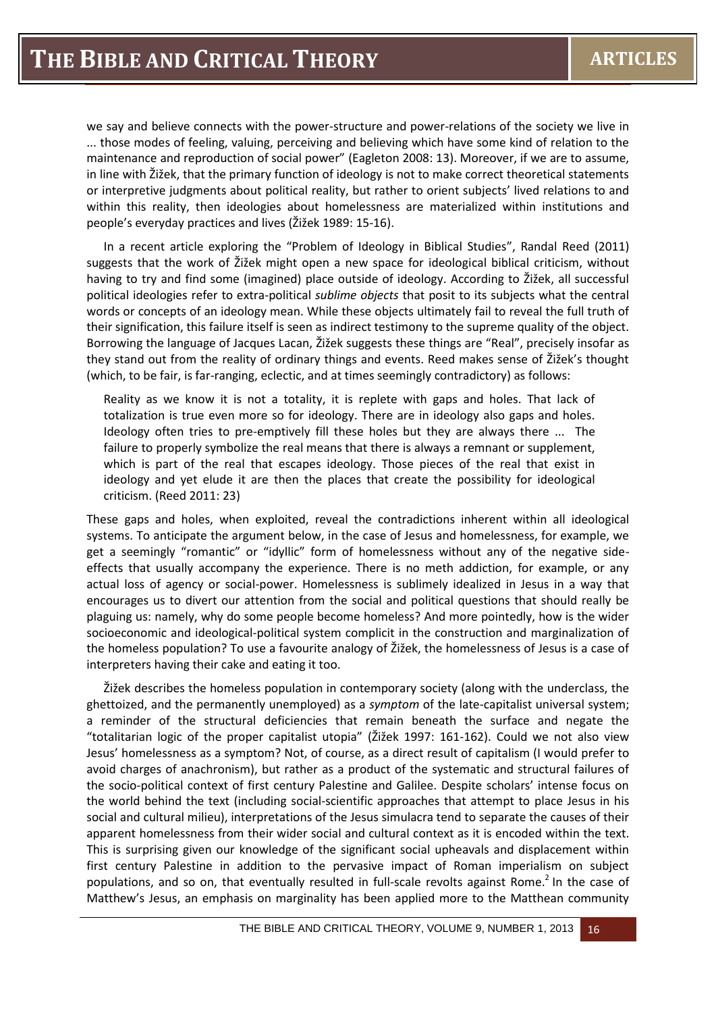we say and believe connects with the power-structure and power-relations of the society we live in ... those modes of feeling, valuing, perceiving and believing which have some kind of relation to the maintenance and reproduction of social power" (Eagleton 2008: 13). Moreover, if we are to assume, in line with Žižek, that the primary function of ideology is not to make correct theoretical statements or interpretive judgments about political reality, but rather to orient subjects' lived relations to and within this reality, then ideologies about homelessness are materialized within institutions and people's everyday practices and lives (Žižek 1989: 15-16).

In a recent article exploring the "Problem of Ideology in Biblical Studies", Randal Reed (2011) suggests that the work of Žižek might open a new space for ideological biblical criticism, without having to try and find some (imagined) place outside of ideology. According to Žižek, all successful political ideologies refer to extra-political *sublime objects* that posit to its subjects what the central words or concepts of an ideology mean. While these objects ultimately fail to reveal the full truth of their signification, this failure itself is seen as indirect testimony to the supreme quality of the object. Borrowing the language of Jacques Lacan, Žižek suggests these things are "Real", precisely insofar as they stand out from the reality of ordinary things and events. Reed makes sense of Žižek's thought (which, to be fair, is far-ranging, eclectic, and at times seemingly contradictory) as follows:

Reality as we know it is not a totality, it is replete with gaps and holes. That lack of totalization is true even more so for ideology. There are in ideology also gaps and holes. Ideology often tries to pre-emptively fill these holes but they are always there ... The failure to properly symbolize the real means that there is always a remnant or supplement, which is part of the real that escapes ideology. Those pieces of the real that exist in ideology and yet elude it are then the places that create the possibility for ideological criticism. (Reed 2011: 23)

These gaps and holes, when exploited, reveal the contradictions inherent within all ideological systems. To anticipate the argument below, in the case of Jesus and homelessness, for example, we get a seemingly "romantic" or "idyllic" form of homelessness without any of the negative sideeffects that usually accompany the experience. There is no meth addiction, for example, or any actual loss of agency or social-power. Homelessness is sublimely idealized in Jesus in a way that encourages us to divert our attention from the social and political questions that should really be plaguing us: namely, why do some people become homeless? And more pointedly, how is the wider socioeconomic and ideological-political system complicit in the construction and marginalization of the homeless population? To use a favourite analogy of Žižek, the homelessness of Jesus is a case of interpreters having their cake and eating it too.

Žižek describes the homeless population in contemporary society (along with the underclass, the ghettoized, and the permanently unemployed) as a *symptom* of the late-capitalist universal system; a reminder of the structural deficiencies that remain beneath the surface and negate the "totalitarian logic of the proper capitalist utopia" (Žižek 1997: 161-162). Could we not also view Jesus' homelessness as a symptom? Not, of course, as a direct result of capitalism (I would prefer to avoid charges of anachronism), but rather as a product of the systematic and structural failures of the socio-political context of first century Palestine and Galilee. Despite scholars' intense focus on the world behind the text (including social-scientific approaches that attempt to place Jesus in his social and cultural milieu), interpretations of the Jesus simulacra tend to separate the causes of their apparent homelessness from their wider social and cultural context as it is encoded within the text. This is surprising given our knowledge of the significant social upheavals and displacement within first century Palestine in addition to the pervasive impact of Roman imperialism on subject populations, and so on, that eventually resulted in full-scale revolts against Rome.<sup>2</sup> In the case of Matthew's Jesus, an emphasis on marginality has been applied more to the Matthean community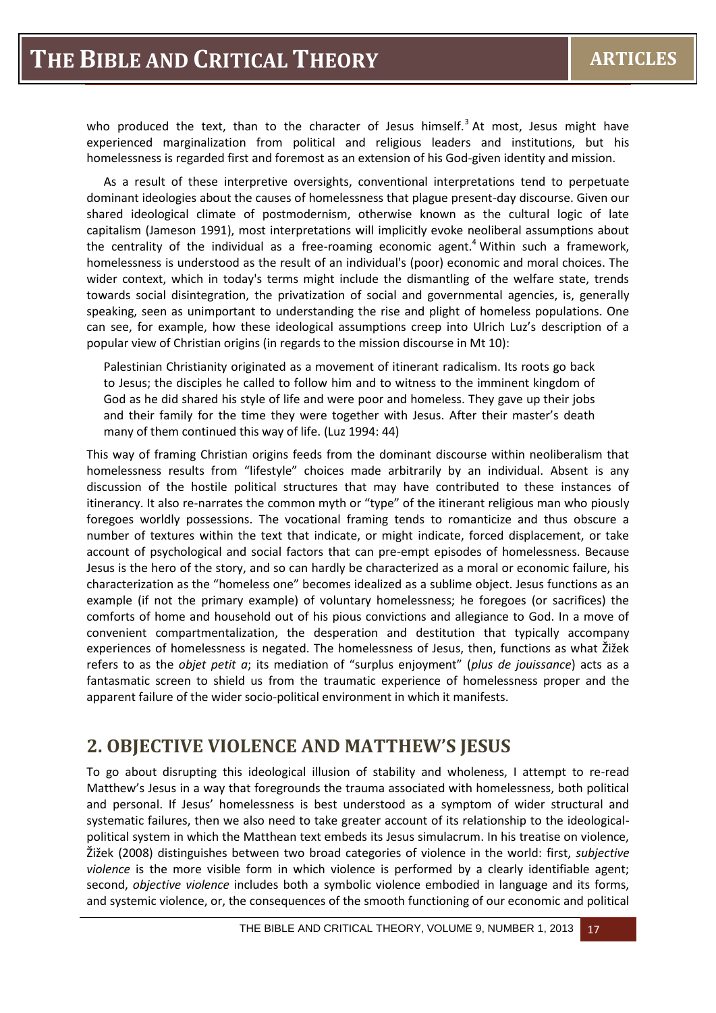who produced the text, than to the character of Jesus himself.<sup>3</sup> At most, Jesus might have experienced marginalization from political and religious leaders and institutions, but his homelessness is regarded first and foremost as an extension of his God-given identity and mission.

As a result of these interpretive oversights, conventional interpretations tend to perpetuate dominant ideologies about the causes of homelessness that plague present-day discourse. Given our shared ideological climate of postmodernism, otherwise known as the cultural logic of late capitalism (Jameson 1991), most interpretations will implicitly evoke neoliberal assumptions about the centrality of the individual as a free-roaming economic agent.<sup>4</sup> Within such a framework, homelessness is understood as the result of an individual's (poor) economic and moral choices. The wider context, which in today's terms might include the dismantling of the welfare state, trends towards social disintegration, the privatization of social and governmental agencies, is, generally speaking, seen as unimportant to understanding the rise and plight of homeless populations. One can see, for example, how these ideological assumptions creep into Ulrich Luz's description of a popular view of Christian origins (in regards to the mission discourse in Mt 10):

Palestinian Christianity originated as a movement of itinerant radicalism. Its roots go back to Jesus; the disciples he called to follow him and to witness to the imminent kingdom of God as he did shared his style of life and were poor and homeless. They gave up their jobs and their family for the time they were together with Jesus. After their master's death many of them continued this way of life. (Luz 1994: 44)

This way of framing Christian origins feeds from the dominant discourse within neoliberalism that homelessness results from "lifestyle" choices made arbitrarily by an individual. Absent is any discussion of the hostile political structures that may have contributed to these instances of itinerancy. It also re-narrates the common myth or "type" of the itinerant religious man who piously foregoes worldly possessions. The vocational framing tends to romanticize and thus obscure a number of textures within the text that indicate, or might indicate, forced displacement, or take account of psychological and social factors that can pre-empt episodes of homelessness. Because Jesus is the hero of the story, and so can hardly be characterized as a moral or economic failure, his characterization as the "homeless one" becomes idealized as a sublime object. Jesus functions as an example (if not the primary example) of voluntary homelessness; he foregoes (or sacrifices) the comforts of home and household out of his pious convictions and allegiance to God. In a move of convenient compartmentalization, the desperation and destitution that typically accompany experiences of homelessness is negated. The homelessness of Jesus, then, functions as what Žižek refers to as the *objet petit a*; its mediation of "surplus enjoyment" (*plus de jouissance*) acts as a fantasmatic screen to shield us from the traumatic experience of homelessness proper and the apparent failure of the wider socio-political environment in which it manifests.

# **2. OBJECTIVE VIOLENCE AND MATTHEW'S JESUS**

To go about disrupting this ideological illusion of stability and wholeness, I attempt to re-read Matthew's Jesus in a way that foregrounds the trauma associated with homelessness, both political and personal. If Jesus' homelessness is best understood as a symptom of wider structural and systematic failures, then we also need to take greater account of its relationship to the ideologicalpolitical system in which the Matthean text embeds its Jesus simulacrum. In his treatise on violence, Žižek (2008) distinguishes between two broad categories of violence in the world: first, *subjective violence* is the more visible form in which violence is performed by a clearly identifiable agent; second, *objective violence* includes both a symbolic violence embodied in language and its forms, and systemic violence, or, the consequences of the smooth functioning of our economic and political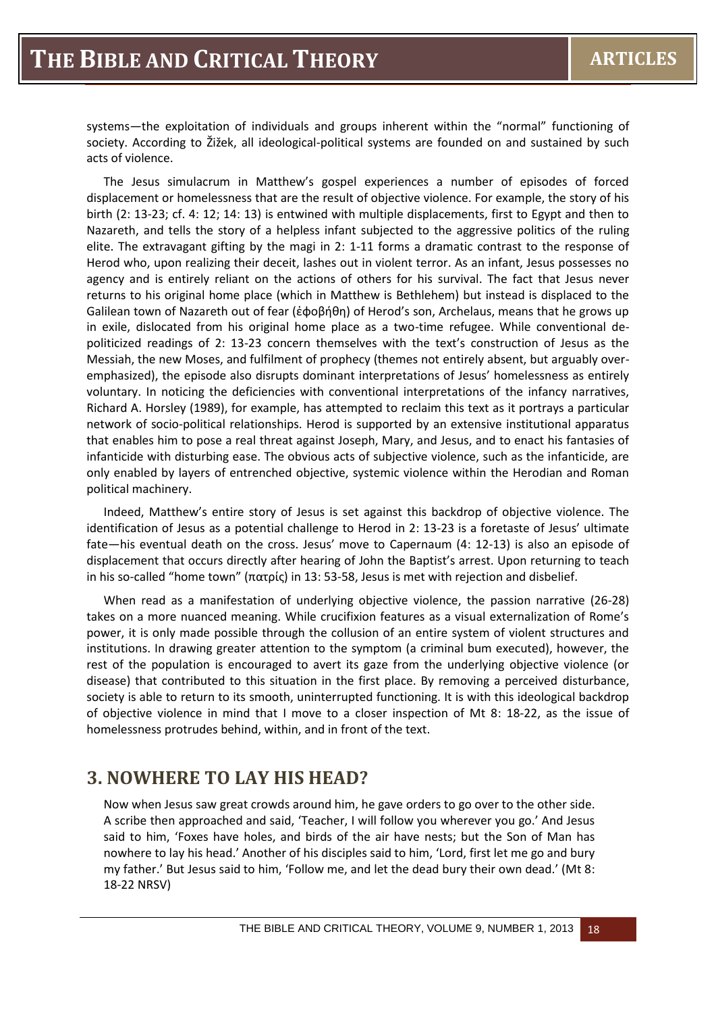systems—the exploitation of individuals and groups inherent within the "normal" functioning of society. According to Žižek, all ideological-political systems are founded on and sustained by such acts of violence.

The Jesus simulacrum in Matthew's gospel experiences a number of episodes of forced displacement or homelessness that are the result of objective violence. For example, the story of his birth (2: 13-23; cf. 4: 12; 14: 13) is entwined with multiple displacements, first to Egypt and then to Nazareth, and tells the story of a helpless infant subjected to the aggressive politics of the ruling elite. The extravagant gifting by the magi in 2: 1-11 forms a dramatic contrast to the response of Herod who, upon realizing their deceit, lashes out in violent terror. As an infant, Jesus possesses no agency and is entirely reliant on the actions of others for his survival. The fact that Jesus never returns to his original home place (which in Matthew is Bethlehem) but instead is displaced to the Galilean town of Nazareth out of fear (ἐφοβήθη) of Herod's son, Archelaus, means that he grows up in exile, dislocated from his original home place as a two-time refugee. While conventional depoliticized readings of 2: 13-23 concern themselves with the text's construction of Jesus as the Messiah, the new Moses, and fulfilment of prophecy (themes not entirely absent, but arguably overemphasized), the episode also disrupts dominant interpretations of Jesus' homelessness as entirely voluntary. In noticing the deficiencies with conventional interpretations of the infancy narratives, Richard A. Horsley (1989), for example, has attempted to reclaim this text as it portrays a particular network of socio-political relationships. Herod is supported by an extensive institutional apparatus that enables him to pose a real threat against Joseph, Mary, and Jesus, and to enact his fantasies of infanticide with disturbing ease. The obvious acts of subjective violence, such as the infanticide, are only enabled by layers of entrenched objective, systemic violence within the Herodian and Roman political machinery.

Indeed, Matthew's entire story of Jesus is set against this backdrop of objective violence. The identification of Jesus as a potential challenge to Herod in 2: 13-23 is a foretaste of Jesus' ultimate fate—his eventual death on the cross. Jesus' move to Capernaum (4: 12-13) is also an episode of displacement that occurs directly after hearing of John the Baptist's arrest. Upon returning to teach in his so-called "home town" (πατρίς) in 13: 53-58, Jesus is met with rejection and disbelief.

When read as a manifestation of underlying objective violence, the passion narrative (26-28) takes on a more nuanced meaning. While crucifixion features as a visual externalization of Rome's power, it is only made possible through the collusion of an entire system of violent structures and institutions. In drawing greater attention to the symptom (a criminal bum executed), however, the rest of the population is encouraged to avert its gaze from the underlying objective violence (or disease) that contributed to this situation in the first place. By removing a perceived disturbance, society is able to return to its smooth, uninterrupted functioning. It is with this ideological backdrop of objective violence in mind that I move to a closer inspection of Mt 8: 18-22, as the issue of homelessness protrudes behind, within, and in front of the text.

#### **3. NOWHERE TO LAY HIS HEAD?**

Now when Jesus saw great crowds around him, he gave orders to go over to the other side. A scribe then approached and said, 'Teacher, I will follow you wherever you go.' And Jesus said to him, 'Foxes have holes, and birds of the air have nests; but the Son of Man has nowhere to lay his head.' Another of his disciples said to him, 'Lord, first let me go and bury my father.' But Jesus said to him, 'Follow me, and let the dead bury their own dead.' (Mt 8: 18-22 NRSV)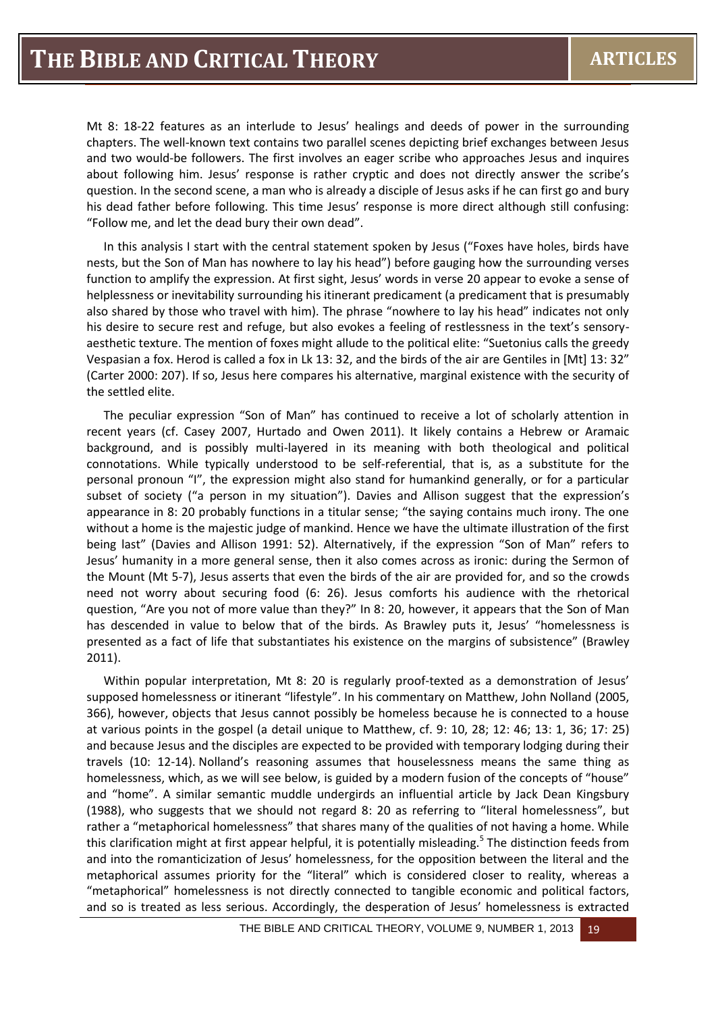Mt 8: 18-22 features as an interlude to Jesus' healings and deeds of power in the surrounding chapters. The well-known text contains two parallel scenes depicting brief exchanges between Jesus and two would-be followers. The first involves an eager scribe who approaches Jesus and inquires about following him. Jesus' response is rather cryptic and does not directly answer the scribe's question. In the second scene, a man who is already a disciple of Jesus asks if he can first go and bury his dead father before following. This time Jesus' response is more direct although still confusing: "Follow me, and let the dead bury their own dead".

In this analysis I start with the central statement spoken by Jesus ("Foxes have holes, birds have nests, but the Son of Man has nowhere to lay his head") before gauging how the surrounding verses function to amplify the expression. At first sight, Jesus' words in verse 20 appear to evoke a sense of helplessness or inevitability surrounding his itinerant predicament (a predicament that is presumably also shared by those who travel with him). The phrase "nowhere to lay his head" indicates not only his desire to secure rest and refuge, but also evokes a feeling of restlessness in the text's sensoryaesthetic texture. The mention of foxes might allude to the political elite: "Suetonius calls the greedy Vespasian a fox. Herod is called a fox in Lk 13: 32, and the birds of the air are Gentiles in [Mt] 13: 32" (Carter 2000: 207). If so, Jesus here compares his alternative, marginal existence with the security of the settled elite.

The peculiar expression "Son of Man" has continued to receive a lot of scholarly attention in recent years (cf. Casey 2007, Hurtado and Owen 2011). It likely contains a Hebrew or Aramaic background, and is possibly multi-layered in its meaning with both theological and political connotations. While typically understood to be self-referential, that is, as a substitute for the personal pronoun "I", the expression might also stand for humankind generally, or for a particular subset of society ("a person in my situation"). Davies and Allison suggest that the expression's appearance in 8: 20 probably functions in a titular sense; "the saying contains much irony. The one without a home is the majestic judge of mankind. Hence we have the ultimate illustration of the first being last" (Davies and Allison 1991: 52). Alternatively, if the expression "Son of Man" refers to Jesus' humanity in a more general sense, then it also comes across as ironic: during the Sermon of the Mount (Mt 5-7), Jesus asserts that even the birds of the air are provided for, and so the crowds need not worry about securing food (6: 26). Jesus comforts his audience with the rhetorical question, "Are you not of more value than they?" In 8: 20, however, it appears that the Son of Man has descended in value to below that of the birds. As Brawley puts it, Jesus' "homelessness is presented as a fact of life that substantiates his existence on the margins of subsistence" (Brawley 2011).

Within popular interpretation, Mt 8: 20 is regularly proof-texted as a demonstration of Jesus' supposed homelessness or itinerant "lifestyle". In his commentary on Matthew, John Nolland (2005, 366), however, objects that Jesus cannot possibly be homeless because he is connected to a house at various points in the gospel (a detail unique to Matthew, cf. 9: 10, 28; 12: 46; 13: 1, 36; 17: 25) and because Jesus and the disciples are expected to be provided with temporary lodging during their travels (10: 12-14). Nolland's reasoning assumes that houselessness means the same thing as homelessness, which, as we will see below, is guided by a modern fusion of the concepts of "house" and "home". A similar semantic muddle undergirds an influential article by Jack Dean Kingsbury (1988), who suggests that we should not regard 8: 20 as referring to "literal homelessness", but rather a "metaphorical homelessness" that shares many of the qualities of not having a home. While this clarification might at first appear helpful, it is potentially misleading.<sup>5</sup> The distinction feeds from and into the romanticization of Jesus' homelessness, for the opposition between the literal and the metaphorical assumes priority for the "literal" which is considered closer to reality, whereas a "metaphorical" homelessness is not directly connected to tangible economic and political factors, and so is treated as less serious. Accordingly, the desperation of Jesus' homelessness is extracted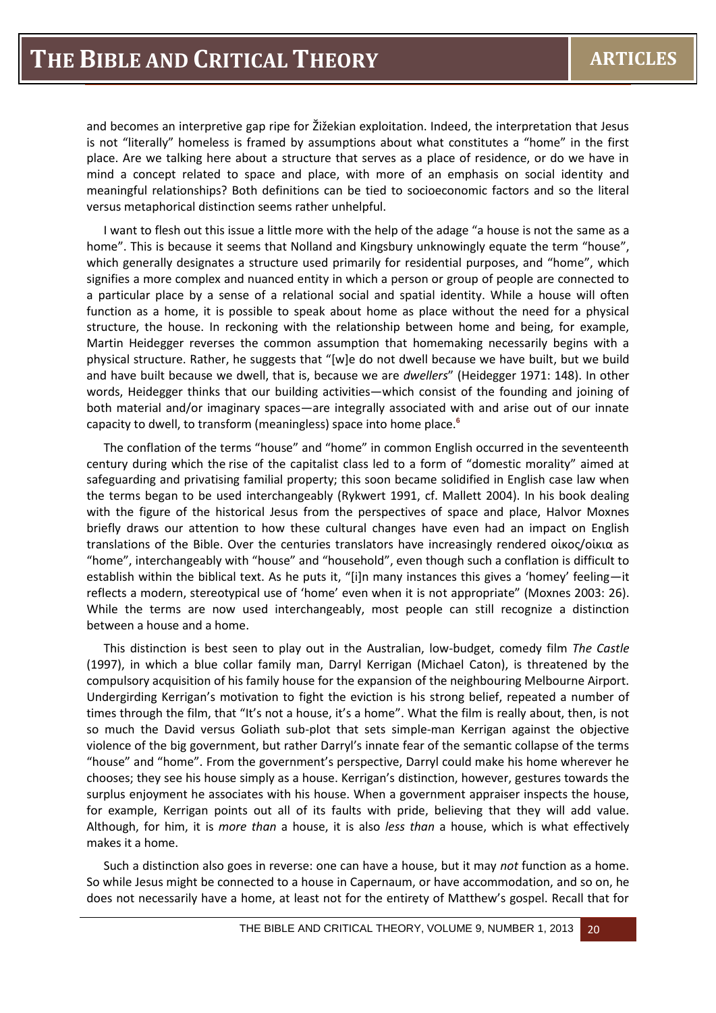and becomes an interpretive gap ripe for Žižekian exploitation. Indeed, the interpretation that Jesus is not "literally" homeless is framed by assumptions about what constitutes a "home" in the first place. Are we talking here about a structure that serves as a place of residence, or do we have in mind a concept related to space and place, with more of an emphasis on social identity and meaningful relationships? Both definitions can be tied to socioeconomic factors and so the literal versus metaphorical distinction seems rather unhelpful.

I want to flesh out this issue a little more with the help of the adage "a house is not the same as a home". This is because it seems that Nolland and Kingsbury unknowingly equate the term "house", which generally designates a structure used primarily for residential purposes, and "home", which signifies a more complex and nuanced entity in which a person or group of people are connected to a particular place by a sense of a relational social and spatial identity. While a house will often function as a home, it is possible to speak about home as place without the need for a physical structure, the house. In reckoning with the relationship between home and being, for example, Martin Heidegger reverses the common assumption that homemaking necessarily begins with a physical structure. Rather, he suggests that "[w]e do not dwell because we have built, but we build and have built because we dwell, that is, because we are *dwellers*" (Heidegger 1971: 148). In other words, Heidegger thinks that our building activities—which consist of the founding and joining of both material and/or imaginary spaces—are integrally associated with and arise out of our innate capacity to dwell, to transform (meaningless) space into home place.**<sup>6</sup>**

The conflation of the terms "house" and "home" in common English occurred in the seventeenth century during which the rise of the capitalist class led to a form of "domestic morality" aimed at safeguarding and privatising familial property; this soon became solidified in English case law when the terms began to be used interchangeably (Rykwert 1991, cf. Mallett 2004). In his book dealing with the figure of the historical Jesus from the perspectives of space and place, Halvor Moxnes briefly draws our attention to how these cultural changes have even had an impact on English translations of the Bible. Over the centuries translators have increasingly rendered οἰκος/οἰκια as "home", interchangeably with "house" and "household", even though such a conflation is difficult to establish within the biblical text. As he puts it, "[i]n many instances this gives a 'homey' feeling—it reflects a modern, stereotypical use of 'home' even when it is not appropriate" (Moxnes 2003: 26). While the terms are now used interchangeably, most people can still recognize a distinction between a house and a home.

This distinction is best seen to play out in the Australian, low-budget, comedy film *The Castle* (1997), in which a blue collar family man, Darryl Kerrigan (Michael Caton), is threatened by the compulsory acquisition of his family house for the expansion of the neighbouring Melbourne Airport. Undergirding Kerrigan's motivation to fight the eviction is his strong belief, repeated a number of times through the film, that "It's not a house, it's a home". What the film is really about, then, is not so much the David versus Goliath sub-plot that sets simple-man Kerrigan against the objective violence of the big government, but rather Darryl's innate fear of the semantic collapse of the terms "house" and "home". From the government's perspective, Darryl could make his home wherever he chooses; they see his house simply as a house. Kerrigan's distinction, however, gestures towards the surplus enjoyment he associates with his house. When a government appraiser inspects the house, for example, Kerrigan points out all of its faults with pride, believing that they will add value. Although, for him, it is *more than* a house, it is also *less than* a house, which is what effectively makes it a home.

Such a distinction also goes in reverse: one can have a house, but it may *not* function as a home. So while Jesus might be connected to a house in Capernaum, or have accommodation, and so on, he does not necessarily have a home, at least not for the entirety of Matthew's gospel. Recall that for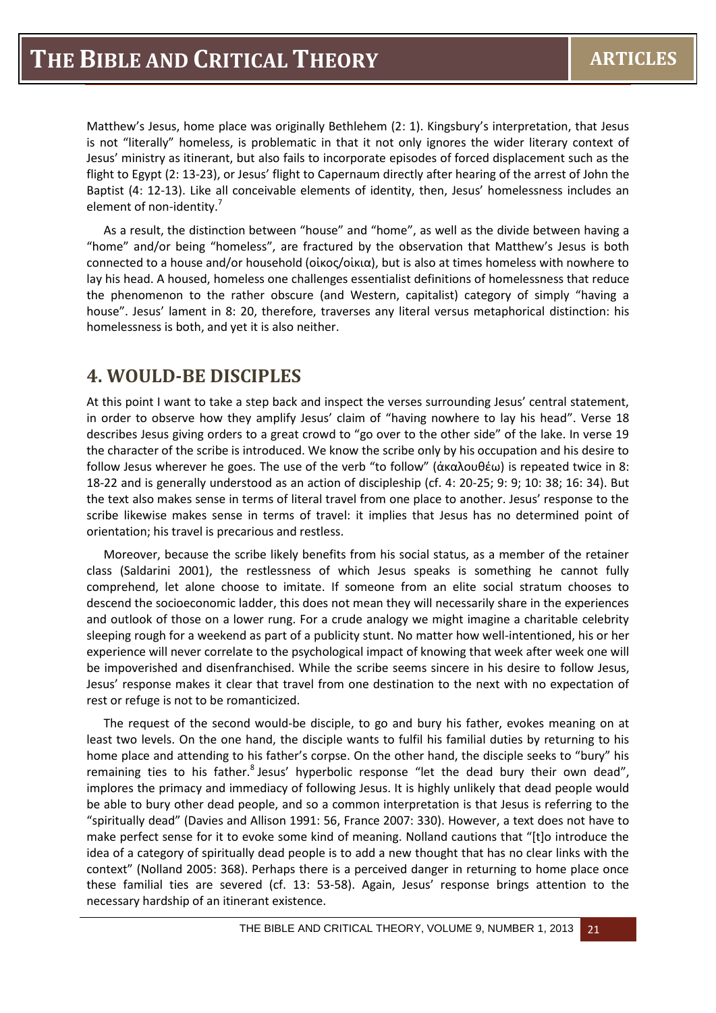Matthew's Jesus, home place was originally Bethlehem (2: 1). Kingsbury's interpretation, that Jesus is not "literally" homeless, is problematic in that it not only ignores the wider literary context of Jesus' ministry as itinerant, but also fails to incorporate episodes of forced displacement such as the flight to Egypt (2: 13-23), or Jesus' flight to Capernaum directly after hearing of the arrest of John the Baptist (4: 12-13). Like all conceivable elements of identity, then, Jesus' homelessness includes an element of non-identity.<sup>7</sup>

As a result, the distinction between "house" and "home", as well as the divide between having a "home" and/or being "homeless", are fractured by the observation that Matthew's Jesus is both connected to a house and/or household (οἰκος/οἰκια), but is also at times homeless with nowhere to lay his head. A housed, homeless one challenges essentialist definitions of homelessness that reduce the phenomenon to the rather obscure (and Western, capitalist) category of simply "having a house". Jesus' lament in 8: 20, therefore, traverses any literal versus metaphorical distinction: his homelessness is both, and yet it is also neither.

## **4. WOULD-BE DISCIPLES**

At this point I want to take a step back and inspect the verses surrounding Jesus' central statement, in order to observe how they amplify Jesus' claim of "having nowhere to lay his head". Verse 18 describes Jesus giving orders to a great crowd to "go over to the other side" of the lake. In verse 19 the character of the scribe is introduced. We know the scribe only by his occupation and his desire to follow Jesus wherever he goes. The use of the verb "to follow" (ἀκαλουθέω) is repeated twice in 8: 18-22 and is generally understood as an action of discipleship (cf. 4: 20-25; 9: 9; 10: 38; 16: 34). But the text also makes sense in terms of literal travel from one place to another. Jesus' response to the scribe likewise makes sense in terms of travel: it implies that Jesus has no determined point of orientation; his travel is precarious and restless.

Moreover, because the scribe likely benefits from his social status, as a member of the retainer class (Saldarini 2001), the restlessness of which Jesus speaks is something he cannot fully comprehend, let alone choose to imitate. If someone from an elite social stratum chooses to descend the socioeconomic ladder, this does not mean they will necessarily share in the experiences and outlook of those on a lower rung. For a crude analogy we might imagine a charitable celebrity sleeping rough for a weekend as part of a publicity stunt. No matter how well-intentioned, his or her experience will never correlate to the psychological impact of knowing that week after week one will be impoverished and disenfranchised. While the scribe seems sincere in his desire to follow Jesus, Jesus' response makes it clear that travel from one destination to the next with no expectation of rest or refuge is not to be romanticized.

The request of the second would-be disciple, to go and bury his father, evokes meaning on at least two levels. On the one hand, the disciple wants to fulfil his familial duties by returning to his home place and attending to his father's corpse. On the other hand, the disciple seeks to "bury" his remaining ties to his father.<sup>8</sup> Jesus' hyperbolic response "let the dead bury their own dead", implores the primacy and immediacy of following Jesus. It is highly unlikely that dead people would be able to bury other dead people, and so a common interpretation is that Jesus is referring to the "spiritually dead" (Davies and Allison 1991: 56, France 2007: 330). However, a text does not have to make perfect sense for it to evoke some kind of meaning. Nolland cautions that "[t]o introduce the idea of a category of spiritually dead people is to add a new thought that has no clear links with the context" (Nolland 2005: 368). Perhaps there is a perceived danger in returning to home place once these familial ties are severed (cf. 13: 53-58). Again, Jesus' response brings attention to the necessary hardship of an itinerant existence.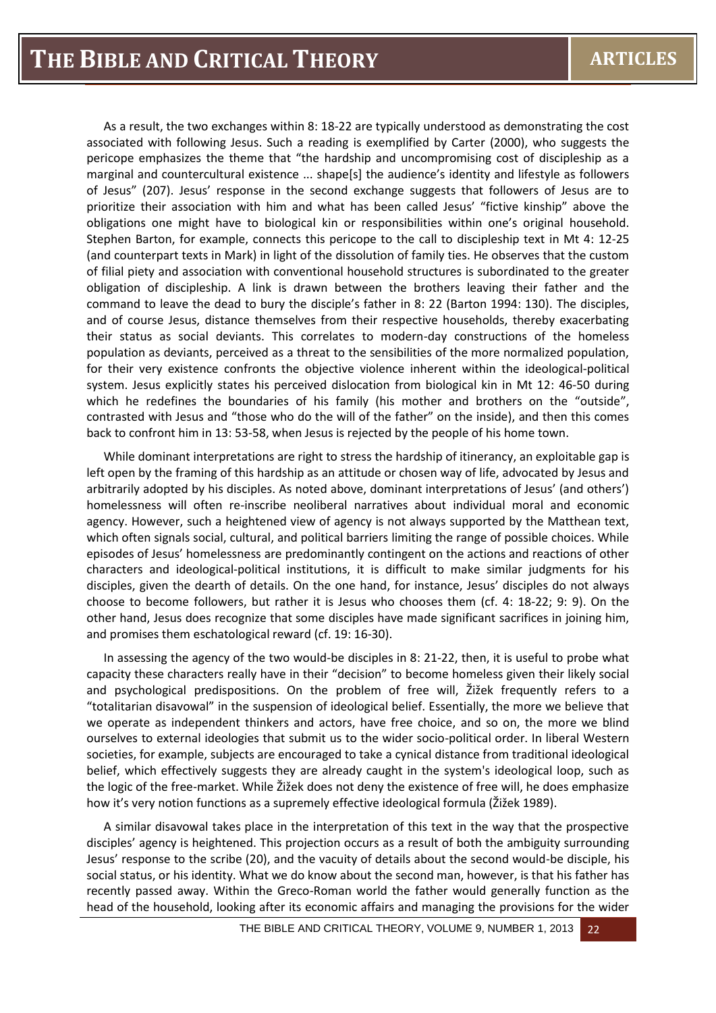As a result, the two exchanges within 8: 18-22 are typically understood as demonstrating the cost associated with following Jesus. Such a reading is exemplified by Carter (2000), who suggests the pericope emphasizes the theme that "the hardship and uncompromising cost of discipleship as a marginal and countercultural existence ... shape[s] the audience's identity and lifestyle as followers of Jesus" (207). Jesus' response in the second exchange suggests that followers of Jesus are to prioritize their association with him and what has been called Jesus' "fictive kinship" above the obligations one might have to biological kin or responsibilities within one's original household. Stephen Barton, for example, connects this pericope to the call to discipleship text in Mt 4: 12-25 (and counterpart texts in Mark) in light of the dissolution of family ties. He observes that the custom of filial piety and association with conventional household structures is subordinated to the greater obligation of discipleship. A link is drawn between the brothers leaving their father and the command to leave the dead to bury the disciple's father in 8: 22 (Barton 1994: 130). The disciples, and of course Jesus, distance themselves from their respective households, thereby exacerbating their status as social deviants. This correlates to modern-day constructions of the homeless population as deviants, perceived as a threat to the sensibilities of the more normalized population, for their very existence confronts the objective violence inherent within the ideological-political system. Jesus explicitly states his perceived dislocation from biological kin in Mt 12: 46-50 during which he redefines the boundaries of his family (his mother and brothers on the "outside", contrasted with Jesus and "those who do the will of the father" on the inside), and then this comes back to confront him in 13: 53-58, when Jesus is rejected by the people of his home town.

While dominant interpretations are right to stress the hardship of itinerancy, an exploitable gap is left open by the framing of this hardship as an attitude or chosen way of life, advocated by Jesus and arbitrarily adopted by his disciples. As noted above, dominant interpretations of Jesus' (and others') homelessness will often re-inscribe neoliberal narratives about individual moral and economic agency. However, such a heightened view of agency is not always supported by the Matthean text, which often signals social, cultural, and political barriers limiting the range of possible choices. While episodes of Jesus' homelessness are predominantly contingent on the actions and reactions of other characters and ideological-political institutions, it is difficult to make similar judgments for his disciples, given the dearth of details. On the one hand, for instance, Jesus' disciples do not always choose to become followers, but rather it is Jesus who chooses them (cf. 4: 18-22; 9: 9). On the other hand, Jesus does recognize that some disciples have made significant sacrifices in joining him, and promises them eschatological reward (cf. 19: 16-30).

In assessing the agency of the two would-be disciples in 8: 21-22, then, it is useful to probe what capacity these characters really have in their "decision" to become homeless given their likely social and psychological predispositions. On the problem of free will, Žižek frequently refers to a "totalitarian disavowal" in the suspension of ideological belief. Essentially, the more we believe that we operate as independent thinkers and actors, have free choice, and so on, the more we blind ourselves to external ideologies that submit us to the wider socio-political order. In liberal Western societies, for example, subjects are encouraged to take a cynical distance from traditional ideological belief, which effectively suggests they are already caught in the system's ideological loop, such as the logic of the free-market. While Žižek does not deny the existence of free will, he does emphasize how it's very notion functions as a supremely effective ideological formula (Žižek 1989).

A similar disavowal takes place in the interpretation of this text in the way that the prospective disciples' agency is heightened. This projection occurs as a result of both the ambiguity surrounding Jesus' response to the scribe (20), and the vacuity of details about the second would-be disciple, his social status, or his identity. What we do know about the second man, however, is that his father has recently passed away. Within the Greco-Roman world the father would generally function as the head of the household, looking after its economic affairs and managing the provisions for the wider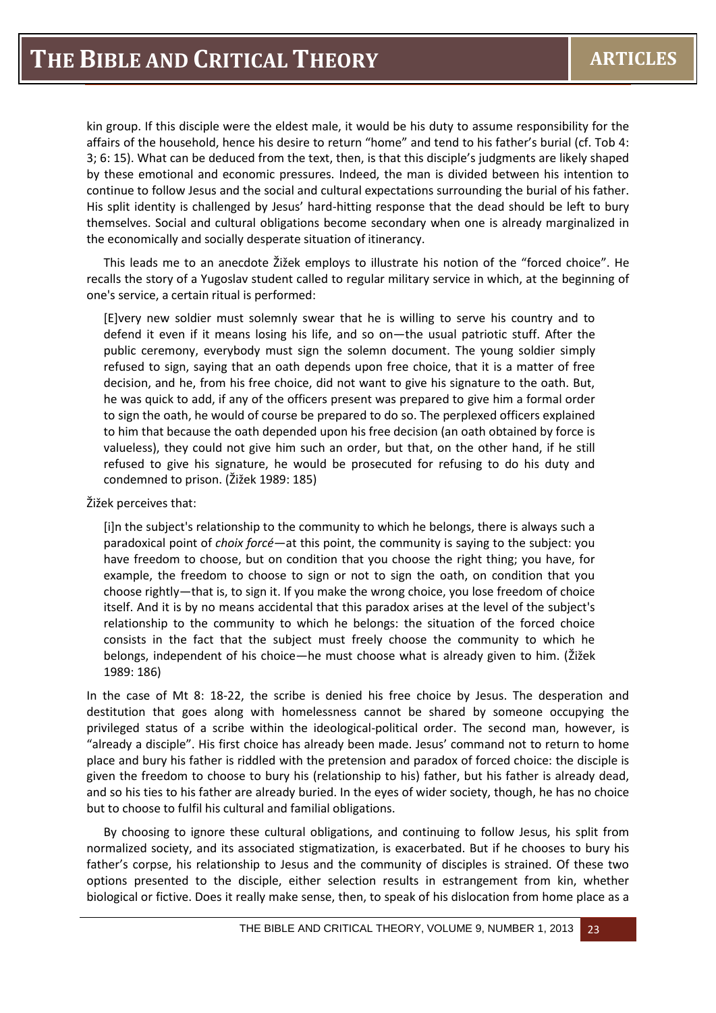kin group. If this disciple were the eldest male, it would be his duty to assume responsibility for the affairs of the household, hence his desire to return "home" and tend to his father's burial (cf. Tob 4: 3; 6: 15). What can be deduced from the text, then, is that this disciple's judgments are likely shaped by these emotional and economic pressures. Indeed, the man is divided between his intention to continue to follow Jesus and the social and cultural expectations surrounding the burial of his father. His split identity is challenged by Jesus' hard-hitting response that the dead should be left to bury themselves. Social and cultural obligations become secondary when one is already marginalized in the economically and socially desperate situation of itinerancy.

This leads me to an anecdote Žižek employs to illustrate his notion of the "forced choice". He recalls the story of a Yugoslav student called to regular military service in which, at the beginning of one's service, a certain ritual is performed:

[E]very new soldier must solemnly swear that he is willing to serve his country and to defend it even if it means losing his life, and so on—the usual patriotic stuff. After the public ceremony, everybody must sign the solemn document. The young soldier simply refused to sign, saying that an oath depends upon free choice, that it is a matter of free decision, and he, from his free choice, did not want to give his signature to the oath. But, he was quick to add, if any of the officers present was prepared to give him a formal order to sign the oath, he would of course be prepared to do so. The perplexed officers explained to him that because the oath depended upon his free decision (an oath obtained by force is valueless), they could not give him such an order, but that, on the other hand, if he still refused to give his signature, he would be prosecuted for refusing to do his duty and condemned to prison. (Žižek 1989: 185)

#### Žižek perceives that:

[i]n the subject's relationship to the community to which he belongs, there is always such a paradoxical point of *choix forcé*—at this point, the community is saying to the subject: you have freedom to choose, but on condition that you choose the right thing; you have, for example, the freedom to choose to sign or not to sign the oath, on condition that you choose rightly—that is, to sign it. If you make the wrong choice, you lose freedom of choice itself. And it is by no means accidental that this paradox arises at the level of the subject's relationship to the community to which he belongs: the situation of the forced choice consists in the fact that the subject must freely choose the community to which he belongs, independent of his choice—he must choose what is already given to him. (Žižek 1989: 186)

In the case of Mt 8: 18-22, the scribe is denied his free choice by Jesus. The desperation and destitution that goes along with homelessness cannot be shared by someone occupying the privileged status of a scribe within the ideological-political order. The second man, however, is "already a disciple". His first choice has already been made. Jesus' command not to return to home place and bury his father is riddled with the pretension and paradox of forced choice: the disciple is given the freedom to choose to bury his (relationship to his) father, but his father is already dead, and so his ties to his father are already buried. In the eyes of wider society, though, he has no choice but to choose to fulfil his cultural and familial obligations.

By choosing to ignore these cultural obligations, and continuing to follow Jesus, his split from normalized society, and its associated stigmatization, is exacerbated. But if he chooses to bury his father's corpse, his relationship to Jesus and the community of disciples is strained. Of these two options presented to the disciple, either selection results in estrangement from kin, whether biological or fictive. Does it really make sense, then, to speak of his dislocation from home place as a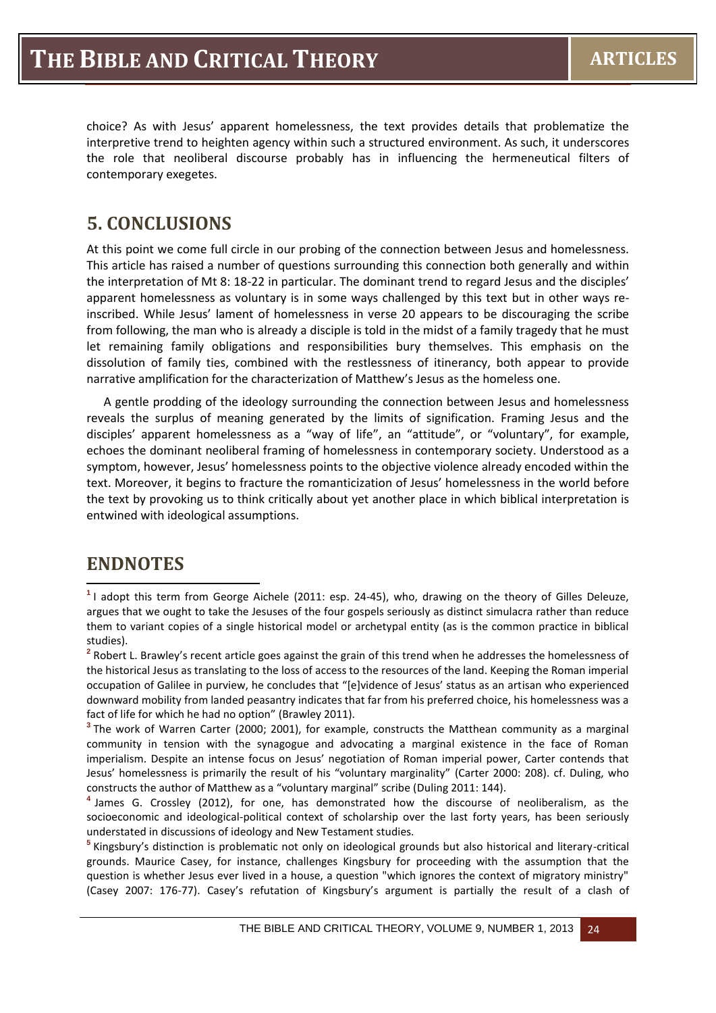choice? As with Jesus' apparent homelessness, the text provides details that problematize the interpretive trend to heighten agency within such a structured environment. As such, it underscores the role that neoliberal discourse probably has in influencing the hermeneutical filters of contemporary exegetes.

## **5. CONCLUSIONS**

At this point we come full circle in our probing of the connection between Jesus and homelessness. This article has raised a number of questions surrounding this connection both generally and within the interpretation of Mt 8: 18-22 in particular. The dominant trend to regard Jesus and the disciples' apparent homelessness as voluntary is in some ways challenged by this text but in other ways reinscribed. While Jesus' lament of homelessness in verse 20 appears to be discouraging the scribe from following, the man who is already a disciple is told in the midst of a family tragedy that he must let remaining family obligations and responsibilities bury themselves. This emphasis on the dissolution of family ties, combined with the restlessness of itinerancy, both appear to provide narrative amplification for the characterization of Matthew's Jesus as the homeless one.

A gentle prodding of the ideology surrounding the connection between Jesus and homelessness reveals the surplus of meaning generated by the limits of signification. Framing Jesus and the disciples' apparent homelessness as a "way of life", an "attitude", or "voluntary", for example, echoes the dominant neoliberal framing of homelessness in contemporary society. Understood as a symptom, however, Jesus' homelessness points to the objective violence already encoded within the text. Moreover, it begins to fracture the romanticization of Jesus' homelessness in the world before the text by provoking us to think critically about yet another place in which biblical interpretation is entwined with ideological assumptions.

#### **ENDNOTES**

**.** 

**<sup>1</sup>** I adopt this term from George Aichele (2011: esp. 24-45), who, drawing on the theory of Gilles Deleuze, argues that we ought to take the Jesuses of the four gospels seriously as distinct simulacra rather than reduce them to variant copies of a single historical model or archetypal entity (as is the common practice in biblical studies).

**<sup>2</sup>** Robert L. Brawley's recent article goes against the grain of this trend when he addresses the homelessness of the historical Jesus as translating to the loss of access to the resources of the land. Keeping the Roman imperial occupation of Galilee in purview, he concludes that "[e]vidence of Jesus' status as an artisan who experienced downward mobility from landed peasantry indicates that far from his preferred choice, his homelessness was a fact of life for which he had no option" (Brawley 2011).

**<sup>3</sup>** The work of Warren Carter (2000; 2001), for example, constructs the Matthean community as a marginal community in tension with the synagogue and advocating a marginal existence in the face of Roman imperialism. Despite an intense focus on Jesus' negotiation of Roman imperial power, Carter contends that Jesus' homelessness is primarily the result of his "voluntary marginality" (Carter 2000: 208). cf. Duling, who constructs the author of Matthew as a "voluntary marginal" scribe (Duling 2011: 144).

**<sup>4</sup>** James G. Crossley (2012), for one, has demonstrated how the discourse of neoliberalism, as the socioeconomic and ideological-political context of scholarship over the last forty years, has been seriously understated in discussions of ideology and New Testament studies.

**<sup>5</sup>** Kingsbury's distinction is problematic not only on ideological grounds but also historical and literary-critical grounds. Maurice Casey, for instance, challenges Kingsbury for proceeding with the assumption that the question is whether Jesus ever lived in a house, a question "which ignores the context of migratory ministry" (Casey 2007: 176-77). Casey's refutation of Kingsbury's argument is partially the result of a clash of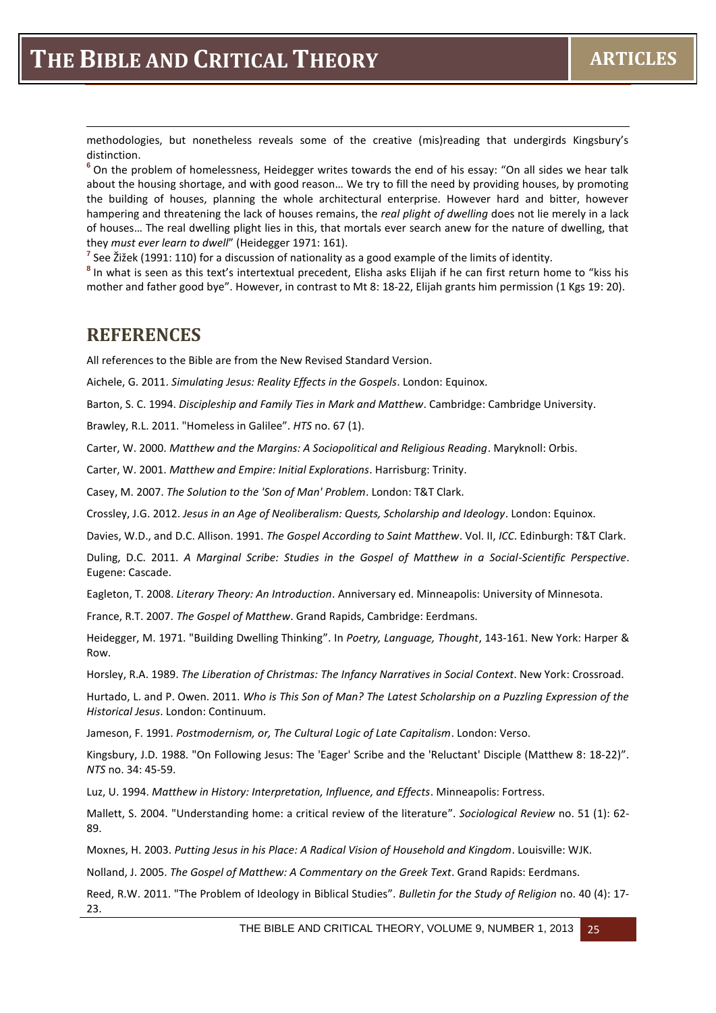methodologies, but nonetheless reveals some of the creative (mis)reading that undergirds Kingsbury's distinction.

**<sup>6</sup>** On the problem of homelessness, Heidegger writes towards the end of his essay: "On all sides we hear talk about the housing shortage, and with good reason… We try to fill the need by providing houses, by promoting the building of houses, planning the whole architectural enterprise. However hard and bitter, however hampering and threatening the lack of houses remains, the *real plight of dwelling* does not lie merely in a lack of houses… The real dwelling plight lies in this, that mortals ever search anew for the nature of dwelling, that they *must ever learn to dwell*" (Heidegger 1971: 161).

**7** See Žižek (1991: 110) for a discussion of nationality as a good example of the limits of identity.

**8** In what is seen as this text's intertextual precedent, Elisha asks Elijah if he can first return home to "kiss his mother and father good bye". However, in contrast to Mt 8: 18-22, Elijah grants him permission (1 Kgs 19: 20).

#### **REFERENCES**

1

All references to the Bible are from the New Revised Standard Version.

Aichele, G. 2011. *Simulating Jesus: Reality Effects in the Gospels*. London: Equinox.

Barton, S. C. 1994. *Discipleship and Family Ties in Mark and Matthew*. Cambridge: Cambridge University.

Brawley, R.L. 2011. "Homeless in Galilee". *HTS* no. 67 (1).

Carter, W. 2000. *Matthew and the Margins: A Sociopolitical and Religious Reading*. Maryknoll: Orbis.

Carter, W. 2001. *Matthew and Empire: Initial Explorations*. Harrisburg: Trinity.

Casey, M. 2007. *The Solution to the 'Son of Man' Problem*. London: T&T Clark.

Crossley, J.G. 2012. *Jesus in an Age of Neoliberalism: Quests, Scholarship and Ideology*. London: Equinox.

Davies, W.D., and D.C. Allison. 1991. *The Gospel According to Saint Matthew*. Vol. II, *ICC*. Edinburgh: T&T Clark.

Duling, D.C. 2011. *A Marginal Scribe: Studies in the Gospel of Matthew in a Social-Scientific Perspective*. Eugene: Cascade.

Eagleton, T. 2008. *Literary Theory: An Introduction*. Anniversary ed. Minneapolis: University of Minnesota.

France, R.T. 2007. *The Gospel of Matthew*. Grand Rapids, Cambridge: Eerdmans.

Heidegger, M. 1971. "Building Dwelling Thinking". In *Poetry, Language, Thought*, 143-161. New York: Harper & Row.

Horsley, R.A. 1989. *The Liberation of Christmas: The Infancy Narratives in Social Context*. New York: Crossroad.

Hurtado, L. and P. Owen. 2011. *Who is This Son of Man? The Latest Scholarship on a Puzzling Expression of the Historical Jesus*. London: Continuum.

Jameson, F. 1991. *Postmodernism, or, The Cultural Logic of Late Capitalism*. London: Verso.

Kingsbury, J.D. 1988. "On Following Jesus: The 'Eager' Scribe and the 'Reluctant' Disciple (Matthew 8: 18-22)". *NTS* no. 34: 45-59.

Luz, U. 1994. *Matthew in History: Interpretation, Influence, and Effects*. Minneapolis: Fortress.

Mallett, S. 2004. "Understanding home: a critical review of the literature". *Sociological Review* no. 51 (1): 62- 89.

Moxnes, H. 2003. *Putting Jesus in his Place: A Radical Vision of Household and Kingdom*. Louisville: WJK.

Nolland, J. 2005. *The Gospel of Matthew: A Commentary on the Greek Text*. Grand Rapids: Eerdmans.

Reed, R.W. 2011. "The Problem of Ideology in Biblical Studies". *Bulletin for the Study of Religion* no. 40 (4): 17- 23.